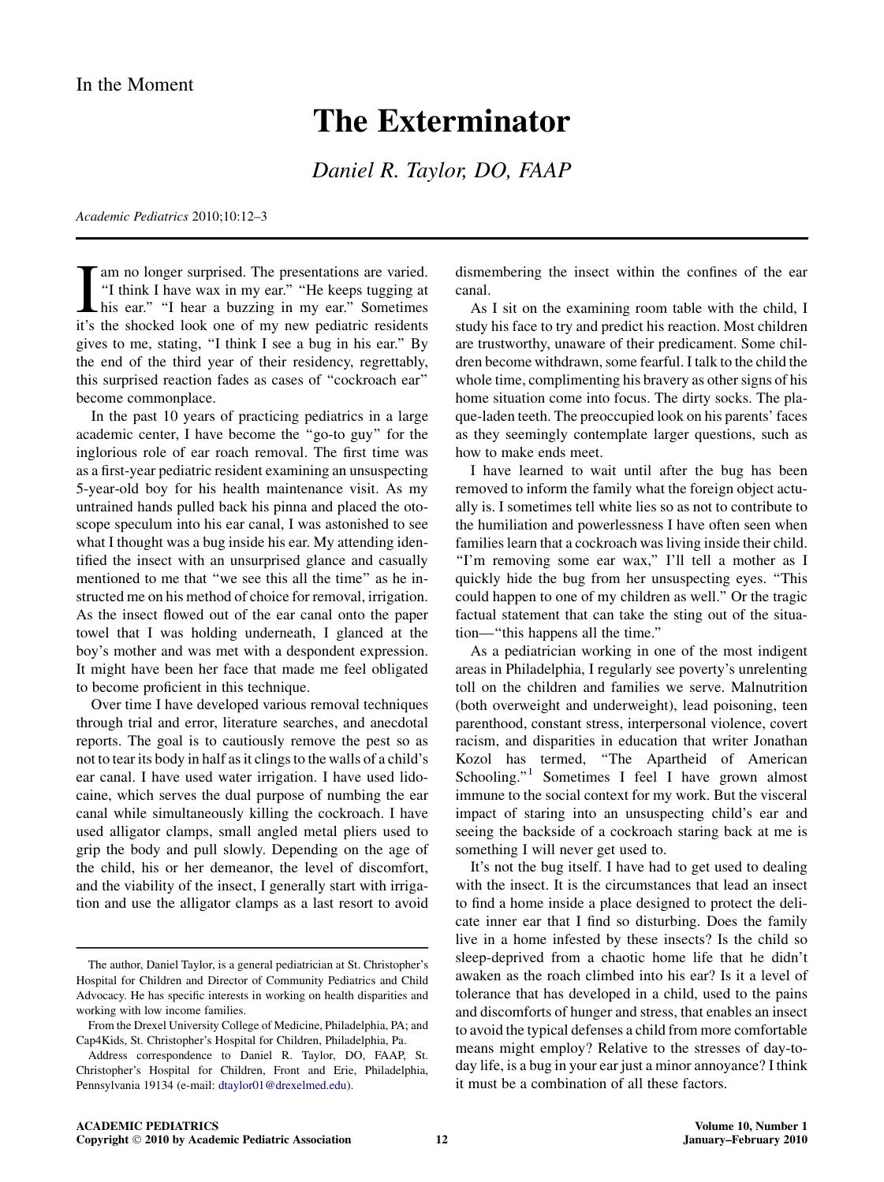## The Exterminator

Daniel R. Taylor, DO, FAAP

Academic Pediatrics 2010;10:12–3

 $\prod_{\text{if's}}$ am no longer surprised. The presentations are varied. "I think I have wax in my ear." "He keeps tugging at his ear." "I hear a buzzing in my ear." Sometimes it's the shocked look one of my new pediatric residents gives to me, stating, ''I think I see a bug in his ear.'' By the end of the third year of their residency, regrettably, this surprised reaction fades as cases of ''cockroach ear'' become commonplace.

In the past 10 years of practicing pediatrics in a large academic center, I have become the ''go-to guy'' for the inglorious role of ear roach removal. The first time was as a first-year pediatric resident examining an unsuspecting 5-year-old boy for his health maintenance visit. As my untrained hands pulled back his pinna and placed the otoscope speculum into his ear canal, I was astonished to see what I thought was a bug inside his ear. My attending identified the insect with an unsurprised glance and casually mentioned to me that ''we see this all the time'' as he instructed me on his method of choice for removal, irrigation. As the insect flowed out of the ear canal onto the paper towel that I was holding underneath, I glanced at the boy's mother and was met with a despondent expression. It might have been her face that made me feel obligated to become proficient in this technique.

Over time I have developed various removal techniques through trial and error, literature searches, and anecdotal reports. The goal is to cautiously remove the pest so as not to tear its body in half as it clings to the walls of a child's ear canal. I have used water irrigation. I have used lidocaine, which serves the dual purpose of numbing the ear canal while simultaneously killing the cockroach. I have used alligator clamps, small angled metal pliers used to grip the body and pull slowly. Depending on the age of the child, his or her demeanor, the level of discomfort, and the viability of the insect, I generally start with irrigation and use the alligator clamps as a last resort to avoid dismembering the insect within the confines of the ear canal.

As I sit on the examining room table with the child, I study his face to try and predict his reaction. Most children are trustworthy, unaware of their predicament. Some children become withdrawn, some fearful. I talk to the child the whole time, complimenting his bravery as other signs of his home situation come into focus. The dirty socks. The plaque-laden teeth. The preoccupied look on his parents' faces as they seemingly contemplate larger questions, such as how to make ends meet.

I have learned to wait until after the bug has been removed to inform the family what the foreign object actually is. I sometimes tell white lies so as not to contribute to the humiliation and powerlessness I have often seen when families learn that a cockroach was living inside their child. "I'm removing some ear wax," I'll tell a mother as I quickly hide the bug from her unsuspecting eyes. ''This could happen to one of my children as well.'' Or the tragic factual statement that can take the sting out of the situation—''this happens all the time.''

As a pediatrician working in one of the most indigent areas in Philadelphia, I regularly see poverty's unrelenting toll on the children and families we serve. Malnutrition (both overweight and underweight), lead poisoning, teen parenthood, constant stress, interpersonal violence, covert racism, and disparities in education that writer Jonathan Kozol has termed, ''The Apartheid of American Schooling." $1$  Sometimes I feel I have grown almost immune to the social context for my work. But the visceral impact of staring into an unsuspecting child's ear and seeing the backside of a cockroach staring back at me is something I will never get used to.

It's not the bug itself. I have had to get used to dealing with the insect. It is the circumstances that lead an insect to find a home inside a place designed to protect the delicate inner ear that I find so disturbing. Does the family live in a home infested by these insects? Is the child so sleep-deprived from a chaotic home life that he didn't awaken as the roach climbed into his ear? Is it a level of tolerance that has developed in a child, used to the pains and discomforts of hunger and stress, that enables an insect to avoid the typical defenses a child from more comfortable means might employ? Relative to the stresses of day-today life, is a bug in your ear just a minor annoyance? I think it must be a combination of all these factors.

The author, Daniel Taylor, is a general pediatrician at St. Christopher's Hospital for Children and Director of Community Pediatrics and Child Advocacy. He has specific interests in working on health disparities and working with low income families.

From the Drexel University College of Medicine, Philadelphia, PA; and Cap4Kids, St. Christopher's Hospital for Children, Philadelphia, Pa.

Address correspondence to Daniel R. Taylor, DO, FAAP, St. Christopher's Hospital for Children, Front and Erie, Philadelphia, Pennsylvania 19134 (e-mail: [dtaylor01@drexelmed.edu](mailto:dtaylor01@drexelmed.edu)).